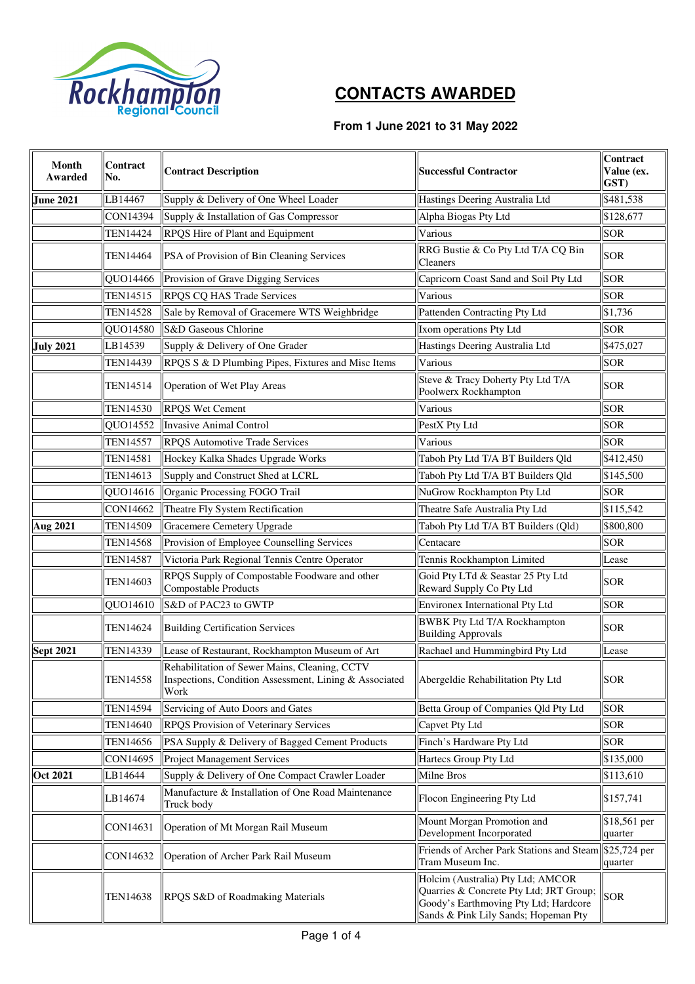

## **CONTACTS AWARDED**

## **From 1 June 2021 to 31 May 2022**

| Month<br>Awarded | Contract<br>No. | <b>Contract Description</b>                                                                                     | <b>Successful Contractor</b>                                                                                                                                  | Contract<br>Value (ex.<br>GST) |
|------------------|-----------------|-----------------------------------------------------------------------------------------------------------------|---------------------------------------------------------------------------------------------------------------------------------------------------------------|--------------------------------|
| <b>June 2021</b> | LB14467         | Supply & Delivery of One Wheel Loader                                                                           | Hastings Deering Australia Ltd                                                                                                                                | \$481,538                      |
|                  | <b>CON14394</b> | Supply & Installation of Gas Compressor                                                                         | Alpha Biogas Pty Ltd                                                                                                                                          | \$128,677                      |
|                  | <b>TEN14424</b> | RPQS Hire of Plant and Equipment                                                                                | Various                                                                                                                                                       | <b>SOR</b>                     |
|                  | TEN14464        | <b>PSA</b> of Provision of Bin Cleaning Services                                                                | RRG Bustie & Co Pty Ltd T/A CQ Bin<br>Cleaners                                                                                                                | <b>SOR</b>                     |
|                  |                 | QUO14466 Provision of Grave Digging Services                                                                    | Capricorn Coast Sand and Soil Pty Ltd                                                                                                                         | <b>SOR</b>                     |
|                  | <b>TEN14515</b> | <b>RPQS CQ HAS Trade Services</b>                                                                               | Various                                                                                                                                                       | <b>SOR</b>                     |
|                  | <b>TEN14528</b> | Sale by Removal of Gracemere WTS Weighbridge                                                                    | Pattenden Contracting Pty Ltd                                                                                                                                 | \$1,736                        |
|                  | QUO14580        | S&D Gaseous Chlorine                                                                                            | Ixom operations Pty Ltd                                                                                                                                       | <b>SOR</b>                     |
| <b>July 2021</b> | LB14539         | Supply & Delivery of One Grader                                                                                 | Hastings Deering Australia Ltd                                                                                                                                | \$475,027                      |
|                  | <b>TEN14439</b> | RPQS S & D Plumbing Pipes, Fixtures and Misc Items                                                              | Various                                                                                                                                                       | <b>SOR</b>                     |
|                  | <b>TEN14514</b> | Operation of Wet Play Areas                                                                                     | Steve & Tracy Doherty Pty Ltd T/A<br>Poolwerx Rockhampton                                                                                                     | <b>SOR</b>                     |
|                  | <b>TEN14530</b> | <b>RPQS</b> Wet Cement                                                                                          | Various                                                                                                                                                       | <b>SOR</b>                     |
|                  | QUO14552        | Invasive Animal Control                                                                                         | PestX Pty Ltd                                                                                                                                                 | <b>SOR</b>                     |
|                  | <b>TEN14557</b> | <b>RPQS</b> Automotive Trade Services                                                                           | Various                                                                                                                                                       | <b>SOR</b>                     |
|                  | <b>TEN14581</b> | Hockey Kalka Shades Upgrade Works                                                                               | Taboh Pty Ltd T/A BT Builders Qld                                                                                                                             | \$412,450                      |
|                  | <b>TEN14613</b> | Supply and Construct Shed at LCRL                                                                               | Taboh Pty Ltd T/A BT Builders Qld                                                                                                                             | \$145,500                      |
|                  | QUO14616        | Organic Processing FOGO Trail                                                                                   | NuGrow Rockhampton Pty Ltd                                                                                                                                    | <b>SOR</b>                     |
|                  | CON14662        | Theatre Fly System Rectification                                                                                | Theatre Safe Australia Pty Ltd                                                                                                                                | \$115,542                      |
| <b>Aug 2021</b>  | <b>TEN14509</b> | Gracemere Cemetery Upgrade                                                                                      | Taboh Pty Ltd T/A BT Builders (Qld)                                                                                                                           | \$800,800                      |
|                  | <b>TEN14568</b> | Provision of Employee Counselling Services                                                                      | Centacare                                                                                                                                                     | <b>SOR</b>                     |
|                  | <b>TEN14587</b> | Victoria Park Regional Tennis Centre Operator                                                                   | Tennis Rockhampton Limited                                                                                                                                    | Lease                          |
|                  | <b>TEN14603</b> | RPQS Supply of Compostable Foodware and other<br>Compostable Products                                           | Goid Pty LTd & Seastar 25 Pty Ltd<br>Reward Supply Co Pty Ltd                                                                                                 | <b>SOR</b>                     |
|                  | QUO14610        | S&D of PAC23 to GWTP                                                                                            | Environex International Pty Ltd                                                                                                                               | <b>SOR</b>                     |
|                  | <b>TEN14624</b> | <b>Building Certification Services</b>                                                                          | <b>BWBK Pty Ltd T/A Rockhampton</b><br><b>Building Approvals</b>                                                                                              | <b>SOR</b>                     |
| <b>Sept 2021</b> | <b>TEN14339</b> | Lease of Restaurant, Rockhampton Museum of Art                                                                  | Rachael and Hummingbird Pty Ltd                                                                                                                               | Lease                          |
|                  | <b>TEN14558</b> | Rehabilitation of Sewer Mains, Cleaning, CCTV<br>Inspections, Condition Assessment, Lining & Associated<br>Work | Abergeldie Rehabilitation Pty Ltd                                                                                                                             | <b>SOR</b>                     |
|                  | <b>TEN14594</b> | Servicing of Auto Doors and Gates                                                                               | Betta Group of Companies Qld Pty Ltd                                                                                                                          | <b>SOR</b>                     |
|                  | <b>TEN14640</b> | <b>RPQS</b> Provision of Veterinary Services                                                                    | Capvet Pty Ltd                                                                                                                                                | <b>SOR</b>                     |
|                  | <b>TEN14656</b> | PSA Supply & Delivery of Bagged Cement Products                                                                 | Finch's Hardware Pty Ltd                                                                                                                                      | <b>SOR</b>                     |
|                  | CON14695        | Project Management Services                                                                                     | Hartecs Group Pty Ltd                                                                                                                                         | \$135,000                      |
| <b>Oct 2021</b>  | LB14644         | Supply & Delivery of One Compact Crawler Loader                                                                 | Milne Bros                                                                                                                                                    | \$113,610                      |
|                  | LB14674         | Manufacture & Installation of One Road Maintenance<br>Truck body                                                | Flocon Engineering Pty Ltd                                                                                                                                    | \$157,741                      |
|                  | CON14631        | Operation of Mt Morgan Rail Museum                                                                              | Mount Morgan Promotion and<br>Development Incorporated                                                                                                        | \$18,561 per<br>quarter        |
|                  | CON14632        | Operation of Archer Park Rail Museum                                                                            | Friends of Archer Park Stations and Steam \$25,724 per<br>Tram Museum Inc.                                                                                    | quarter                        |
|                  | <b>TEN14638</b> | RPQS S&D of Roadmaking Materials                                                                                | Holcim (Australia) Pty Ltd; AMCOR<br>Quarries & Concrete Pty Ltd; JRT Group;<br>Goody's Earthmoving Pty Ltd; Hardcore<br>Sands & Pink Lily Sands; Hopeman Pty | <b>SOR</b>                     |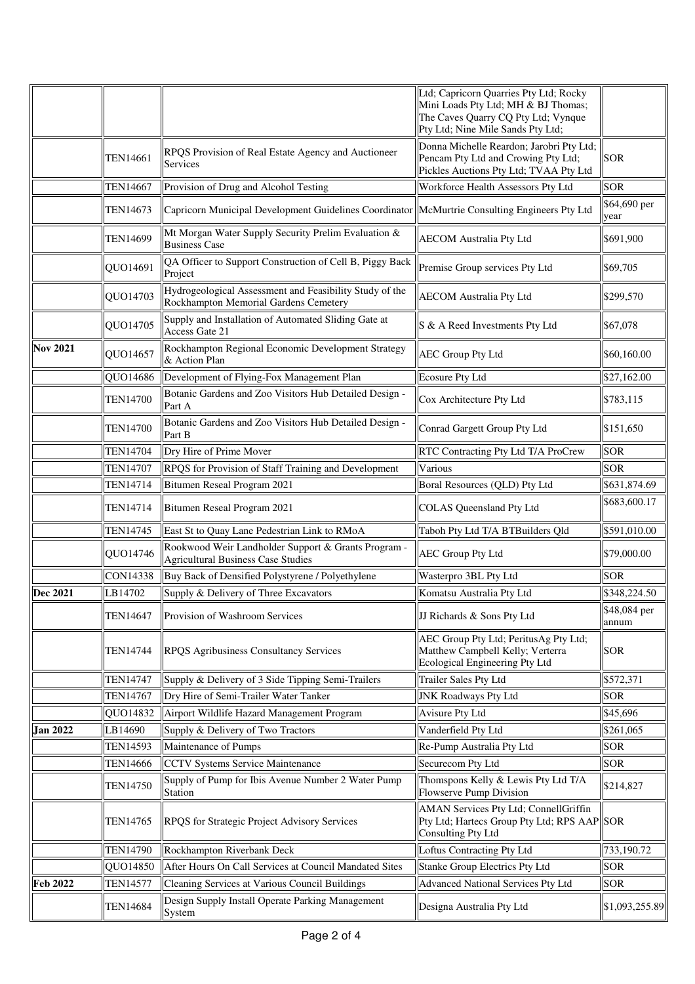|                 |                 |                                                                                                  | Ltd; Capricorn Quarries Pty Ltd; Rocky<br>Mini Loads Pty Ltd; MH & BJ Thomas;<br>The Caves Quarry CQ Pty Ltd; Vynque<br>Pty Ltd; Nine Mile Sands Pty Ltd; |                       |
|-----------------|-----------------|--------------------------------------------------------------------------------------------------|-----------------------------------------------------------------------------------------------------------------------------------------------------------|-----------------------|
|                 | TEN14661        | RPQS Provision of Real Estate Agency and Auctioneer<br>Services                                  | Donna Michelle Reardon; Jarobri Pty Ltd;<br>Pencam Pty Ltd and Crowing Pty Ltd;<br>Pickles Auctions Pty Ltd; TVAA Pty Ltd                                 | <b>SOR</b>            |
|                 | <b>TEN14667</b> | Provision of Drug and Alcohol Testing                                                            | Workforce Health Assessors Pty Ltd                                                                                                                        | <b>SOR</b>            |
|                 | <b>TEN14673</b> | Capricorn Municipal Development Guidelines Coordinator   McMurtrie Consulting Engineers Pty Ltd  |                                                                                                                                                           | \$64,690 per<br>year  |
|                 | <b>TEN14699</b> | Mt Morgan Water Supply Security Prelim Evaluation &<br><b>Business Case</b>                      | <b>AECOM</b> Australia Pty Ltd                                                                                                                            | \$691,900             |
|                 | QUO14691        | QA Officer to Support Construction of Cell B, Piggy Back<br>Project                              | Premise Group services Pty Ltd                                                                                                                            | \$69,705              |
|                 | QUO14703        | Hydrogeological Assessment and Feasibility Study of the<br>Rockhampton Memorial Gardens Cemetery | <b>AECOM</b> Australia Pty Ltd                                                                                                                            | \$299,570             |
|                 | QUO14705        | Supply and Installation of Automated Sliding Gate at<br>Access Gate 21                           | S & A Reed Investments Pty Ltd                                                                                                                            | \$67,078              |
| <b>Nov 2021</b> | QUO14657        | Rockhampton Regional Economic Development Strategy<br>& Action Plan                              | <b>AEC Group Pty Ltd</b>                                                                                                                                  | \$60,160.00           |
|                 | QUO14686        | Development of Flying-Fox Management Plan                                                        | <b>Ecosure Pty Ltd</b>                                                                                                                                    | \$27,162.00           |
|                 | <b>TEN14700</b> | Botanic Gardens and Zoo Visitors Hub Detailed Design -<br>Part A                                 | Cox Architecture Pty Ltd                                                                                                                                  | \$783,115             |
|                 | <b>TEN14700</b> | Botanic Gardens and Zoo Visitors Hub Detailed Design -<br>Part B                                 | Conrad Gargett Group Pty Ltd                                                                                                                              | \$151,650             |
|                 | <b>TEN14704</b> | Dry Hire of Prime Mover                                                                          | RTC Contracting Pty Ltd T/A ProCrew                                                                                                                       | <b>SOR</b>            |
|                 | <b>TEN14707</b> | RPQS for Provision of Staff Training and Development                                             | Various                                                                                                                                                   | <b>SOR</b>            |
|                 | <b>TEN14714</b> | Bitumen Reseal Program 2021                                                                      | Boral Resources (QLD) Pty Ltd                                                                                                                             | \$631,874.69          |
|                 | <b>TEN14714</b> | Bitumen Reseal Program 2021                                                                      | <b>COLAS</b> Queensland Pty Ltd                                                                                                                           | \$683,600.17          |
|                 | <b>TEN14745</b> | East St to Quay Lane Pedestrian Link to RMoA                                                     | Taboh Pty Ltd T/A BTBuilders Qld                                                                                                                          | \$591,010.00          |
|                 | QUO14746        | Rookwood Weir Landholder Support & Grants Program -<br><b>Agricultural Business Case Studies</b> | <b>AEC Group Pty Ltd</b>                                                                                                                                  | \$79,000.00           |
|                 | <b>CON14338</b> | Buy Back of Densified Polystyrene / Polyethylene                                                 | Wasterpro 3BL Pty Ltd                                                                                                                                     | <b>SOR</b>            |
| Dec 2021        | LB14702         | Supply & Delivery of Three Excavators                                                            | Komatsu Australia Pty Ltd                                                                                                                                 | \$348,224.50          |
|                 | TEN14647        | Provision of Washroom Services                                                                   | JJ Richards & Sons Pty Ltd                                                                                                                                | \$48,084 per<br>annum |
|                 | TEN14744        | <b>RPQS</b> Agribusiness Consultancy Services                                                    | AEC Group Pty Ltd; PeritusAg Pty Ltd;<br>Matthew Campbell Kelly; Verterra<br>Ecological Engineering Pty Ltd                                               | <b>SOR</b>            |
|                 | <b>TEN14747</b> | Supply & Delivery of 3 Side Tipping Semi-Trailers                                                | Trailer Sales Pty Ltd                                                                                                                                     | \$572,371             |
|                 | <b>TEN14767</b> | Dry Hire of Semi-Trailer Water Tanker                                                            | <b>JNK Roadways Pty Ltd</b>                                                                                                                               | <b>SOR</b>            |
|                 | QUO14832        | Airport Wildlife Hazard Management Program                                                       | Avisure Pty Ltd                                                                                                                                           | \$45,696              |
| <b>Jan 2022</b> | LB14690         | Supply & Delivery of Two Tractors                                                                | Vanderfield Pty Ltd                                                                                                                                       | \$261,065             |
|                 | <b>TEN14593</b> | Maintenance of Pumps                                                                             | Re-Pump Australia Pty Ltd                                                                                                                                 | <b>SOR</b>            |
|                 | <b>TEN14666</b> | CCTV Systems Service Maintenance                                                                 | Securecom Pty Ltd                                                                                                                                         | <b>SOR</b>            |
|                 | <b>TEN14750</b> | Supply of Pump for Ibis Avenue Number 2 Water Pump<br>Station                                    | Thomspons Kelly & Lewis Pty Ltd T/A<br>Flowserve Pump Division                                                                                            | \$214,827             |
|                 | <b>TEN14765</b> | RPQS for Strategic Project Advisory Services                                                     | AMAN Services Pty Ltd; ConnellGriffin<br>Pty Ltd; Hartecs Group Pty Ltd; RPS AAP SOR<br>Consulting Pty Ltd                                                |                       |
|                 | <b>TEN14790</b> | Rockhampton Riverbank Deck                                                                       | Loftus Contracting Pty Ltd                                                                                                                                | 733,190.72            |
|                 | QUO14850        | After Hours On Call Services at Council Mandated Sites                                           | Stanke Group Electrics Pty Ltd                                                                                                                            | <b>SOR</b>            |
| <b>Feb 2022</b> | <b>TEN14577</b> | Cleaning Services at Various Council Buildings                                                   | <b>Advanced National Services Pty Ltd</b>                                                                                                                 | <b>SOR</b>            |
|                 | <b>TEN14684</b> | Design Supply Install Operate Parking Management<br>System                                       | Designa Australia Pty Ltd                                                                                                                                 | \$1,093,255.89        |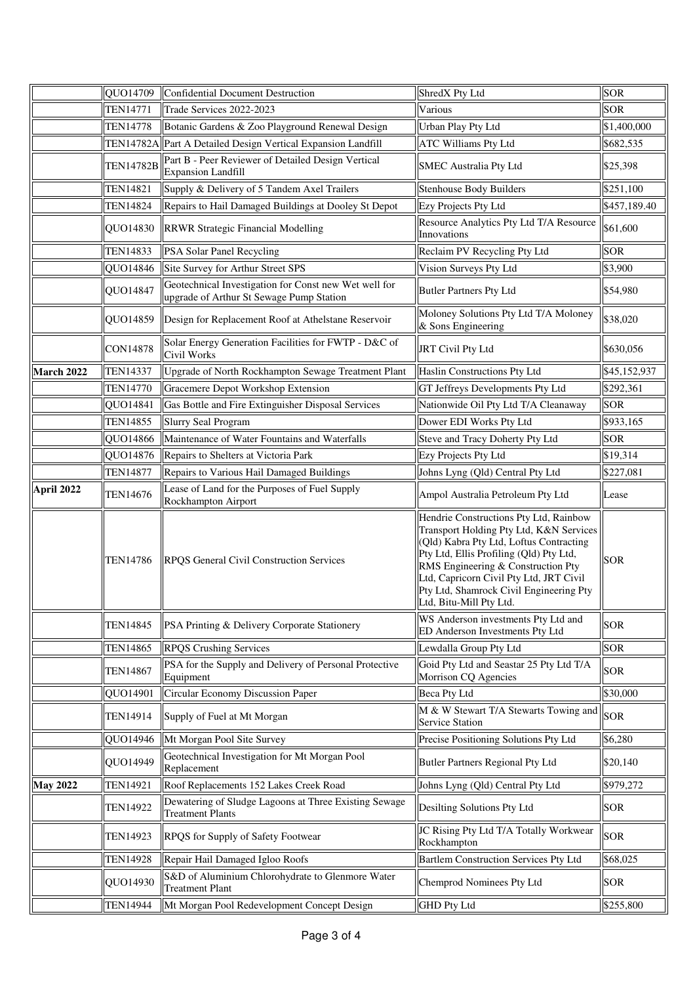|                 | QUO14709         | <b>Confidential Document Destruction</b>                                                          | ShredX Pty Ltd                                                                                                                                                                                                                                                                                                                 | <b>SOR</b>   |
|-----------------|------------------|---------------------------------------------------------------------------------------------------|--------------------------------------------------------------------------------------------------------------------------------------------------------------------------------------------------------------------------------------------------------------------------------------------------------------------------------|--------------|
|                 | TEN14771         | Trade Services 2022-2023                                                                          | Various                                                                                                                                                                                                                                                                                                                        | <b>SOR</b>   |
|                 | <b>TEN14778</b>  | Botanic Gardens & Zoo Playground Renewal Design                                                   | Urban Play Pty Ltd                                                                                                                                                                                                                                                                                                             | \$1,400,000  |
|                 |                  | TEN14782A Part A Detailed Design Vertical Expansion Landfill                                      | ATC Williams Pty Ltd                                                                                                                                                                                                                                                                                                           | \$682,535    |
|                 | <b>TEN14782B</b> | Part B - Peer Reviewer of Detailed Design Vertical<br><b>Expansion Landfill</b>                   | SMEC Australia Pty Ltd                                                                                                                                                                                                                                                                                                         | \$25,398     |
|                 | <b>TEN14821</b>  | Supply & Delivery of 5 Tandem Axel Trailers                                                       | <b>Stenhouse Body Builders</b>                                                                                                                                                                                                                                                                                                 | \$251,100    |
|                 | <b>TEN14824</b>  | Repairs to Hail Damaged Buildings at Dooley St Depot                                              | Ezy Projects Pty Ltd                                                                                                                                                                                                                                                                                                           | \$457,189.40 |
|                 | QUO14830         | <b>RRWR Strategic Financial Modelling</b>                                                         | Resource Analytics Pty Ltd T/A Resource<br>Innovations                                                                                                                                                                                                                                                                         | \$61,600     |
|                 | <b>TEN14833</b>  | PSA Solar Panel Recycling                                                                         | Reclaim PV Recycling Pty Ltd                                                                                                                                                                                                                                                                                                   | <b>SOR</b>   |
|                 | QUO14846         | Site Survey for Arthur Street SPS                                                                 | Vision Surveys Pty Ltd                                                                                                                                                                                                                                                                                                         | \$3,900      |
|                 | QUO14847         | Geotechnical Investigation for Const new Wet well for<br>upgrade of Arthur St Sewage Pump Station | <b>Butler Partners Pty Ltd</b>                                                                                                                                                                                                                                                                                                 | \$54,980     |
|                 | QUO14859         | Design for Replacement Roof at Athelstane Reservoir                                               | Moloney Solutions Pty Ltd T/A Moloney<br>& Sons Engineering                                                                                                                                                                                                                                                                    | \$38,020     |
|                 | <b>CON14878</b>  | Solar Energy Generation Facilities for FWTP - D&C of<br>Civil Works                               | <b>JRT Civil Pty Ltd</b>                                                                                                                                                                                                                                                                                                       | \$630,056    |
| March 2022      | <b>TEN14337</b>  | Upgrade of North Rockhampton Sewage Treatment Plant                                               | Haslin Constructions Pty Ltd                                                                                                                                                                                                                                                                                                   | \$45,152,937 |
|                 | <b>TEN14770</b>  | Gracemere Depot Workshop Extension                                                                | GT Jeffreys Developments Pty Ltd                                                                                                                                                                                                                                                                                               | \$292,361    |
|                 | QUO14841         | Gas Bottle and Fire Extinguisher Disposal Services                                                | Nationwide Oil Pty Ltd T/A Cleanaway                                                                                                                                                                                                                                                                                           | <b>SOR</b>   |
|                 | <b>TEN14855</b>  | <b>Slurry Seal Program</b>                                                                        | Dower EDI Works Pty Ltd                                                                                                                                                                                                                                                                                                        | \$933,165    |
|                 | QUO14866         | Maintenance of Water Fountains and Waterfalls                                                     | Steve and Tracy Doherty Pty Ltd                                                                                                                                                                                                                                                                                                | <b>SOR</b>   |
|                 | QUO14876         | Repairs to Shelters at Victoria Park                                                              | Ezy Projects Pty Ltd                                                                                                                                                                                                                                                                                                           | \$19,314     |
|                 | <b>TEN14877</b>  | Repairs to Various Hail Damaged Buildings                                                         | Johns Lyng (Qld) Central Pty Ltd                                                                                                                                                                                                                                                                                               | \$227,081    |
| April 2022      | <b>TEN14676</b>  | Lease of Land for the Purposes of Fuel Supply<br>Rockhampton Airport                              | Ampol Australia Petroleum Pty Ltd                                                                                                                                                                                                                                                                                              | Lease        |
|                 | <b>TEN14786</b>  | <b>RPQS</b> General Civil Construction Services                                                   | Hendrie Constructions Pty Ltd, Rainbow<br>Transport Holding Pty Ltd, K&N Services<br>(Qld) Kabra Pty Ltd, Loftus Contracting<br>Pty Ltd, Ellis Profiling (Qld) Pty Ltd,<br>RMS Engineering & Construction Pty<br>Ltd, Capricorn Civil Pty Ltd, JRT Civil<br>Pty Ltd, Shamrock Civil Engineering Pty<br>Ltd, Bitu-Mill Pty Ltd. | <b>SOR</b>   |
|                 | <b>TEN14845</b>  | PSA Printing & Delivery Corporate Stationery                                                      | WS Anderson investments Pty Ltd and<br>ED Anderson Investments Pty Ltd                                                                                                                                                                                                                                                         | <b>SOR</b>   |
|                 | <b>TEN14865</b>  | <b>RPQS Crushing Services</b>                                                                     | Lewdalla Group Pty Ltd                                                                                                                                                                                                                                                                                                         | <b>SOR</b>   |
|                 | <b>TEN14867</b>  | PSA for the Supply and Delivery of Personal Protective<br>Equipment                               | Goid Pty Ltd and Seastar 25 Pty Ltd T/A<br>Morrison CQ Agencies                                                                                                                                                                                                                                                                | <b>SOR</b>   |
|                 | QUO14901         | Circular Economy Discussion Paper                                                                 | <b>Beca Pty Ltd</b>                                                                                                                                                                                                                                                                                                            | \$30,000     |
|                 | TEN14914         | Supply of Fuel at Mt Morgan                                                                       | $\sqrt{\text{M} \& \text{W}$ Stewart T/A Stewarts Towing and $\left\  \text{SOR} \right\ $<br>Service Station                                                                                                                                                                                                                  |              |
|                 | QUO14946         | Mt Morgan Pool Site Survey                                                                        | Precise Positioning Solutions Pty Ltd                                                                                                                                                                                                                                                                                          | \$6,280      |
|                 | QUO14949         | Geotechnical Investigation for Mt Morgan Pool<br>Replacement                                      | <b>Butler Partners Regional Pty Ltd</b>                                                                                                                                                                                                                                                                                        | \$20,140     |
| <b>May 2022</b> | <b>TEN14921</b>  | Roof Replacements 152 Lakes Creek Road                                                            | Johns Lyng (Qld) Central Pty Ltd                                                                                                                                                                                                                                                                                               | \$979,272    |
|                 | <b>TEN14922</b>  | Dewatering of Sludge Lagoons at Three Existing Sewage<br><b>Treatment Plants</b>                  | Desilting Solutions Pty Ltd                                                                                                                                                                                                                                                                                                    | <b>SOR</b>   |
|                 | TEN14923         | <b>RPQS</b> for Supply of Safety Footwear                                                         | JC Rising Pty Ltd T/A Totally Workwear<br>Rockhampton                                                                                                                                                                                                                                                                          | <b>SOR</b>   |
|                 | <b>TEN14928</b>  | Repair Hail Damaged Igloo Roofs                                                                   | Bartlem Construction Services Pty Ltd                                                                                                                                                                                                                                                                                          | \$68,025     |
|                 | QUO14930         | S&D of Aluminium Chlorohydrate to Glenmore Water<br><b>Treatment Plant</b>                        | Chemprod Nominees Pty Ltd                                                                                                                                                                                                                                                                                                      | <b>SOR</b>   |
|                 | <b>TEN14944</b>  | Mt Morgan Pool Redevelopment Concept Design                                                       | <b>GHD Pty Ltd</b>                                                                                                                                                                                                                                                                                                             | \$255,800    |